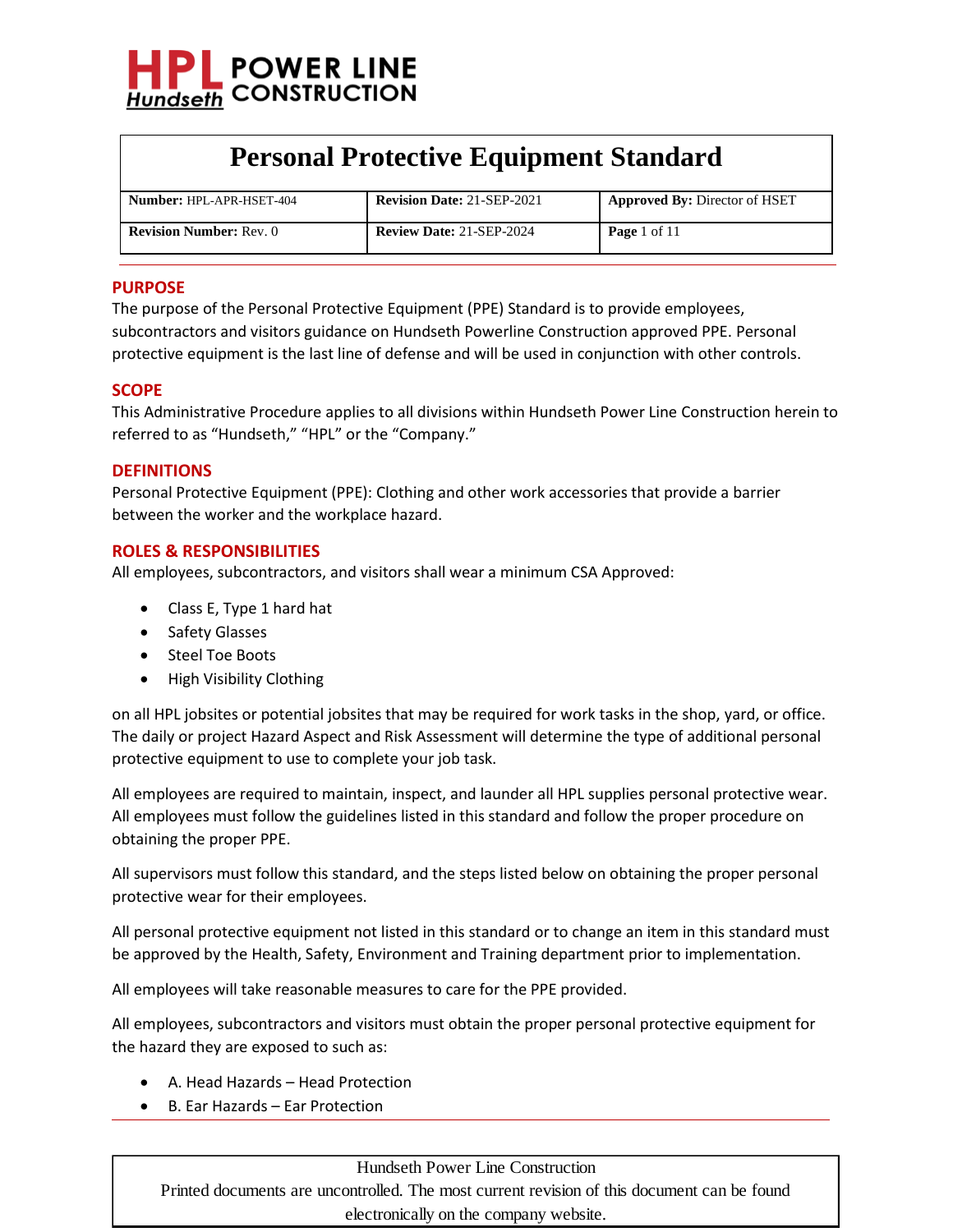

| <b>Number: HPL-APR-HSET-404</b> | <b>Revision Date: 21-SEP-2021</b> | <b>Approved By: Director of HSET</b> |
|---------------------------------|-----------------------------------|--------------------------------------|
| <b>Revision Number: Rev. 0</b>  | <b>Review Date: 21-SEP-2024</b>   | <b>Page</b> 1 of 11                  |

#### **PURPOSE**

The purpose of the Personal Protective Equipment (PPE) Standard is to provide employees, subcontractors and visitors guidance on Hundseth Powerline Construction approved PPE. Personal protective equipment is the last line of defense and will be used in conjunction with other controls.

#### **SCOPE**

This Administrative Procedure applies to all divisions within Hundseth Power Line Construction herein to referred to as "Hundseth," "HPL" or the "Company."

#### **DEFINITIONS**

Personal Protective Equipment (PPE): Clothing and other work accessories that provide a barrier between the worker and the workplace hazard.

#### **ROLES & RESPONSIBILITIES**

All employees, subcontractors, and visitors shall wear a minimum CSA Approved:

- Class E, Type 1 hard hat
- Safety Glasses
- Steel Toe Boots
- High Visibility Clothing

on all HPL jobsites or potential jobsites that may be required for work tasks in the shop, yard, or office. The daily or project Hazard Aspect and Risk Assessment will determine the type of additional personal protective equipment to use to complete your job task.

All employees are required to maintain, inspect, and launder all HPL supplies personal protective wear. All employees must follow the guidelines listed in this standard and follow the proper procedure on obtaining the proper PPE.

All supervisors must follow this standard, and the steps listed below on obtaining the proper personal protective wear for their employees.

All personal protective equipment not listed in this standard or to change an item in this standard must be approved by the Health, Safety, Environment and Training department prior to implementation.

All employees will take reasonable measures to care for the PPE provided.

All employees, subcontractors and visitors must obtain the proper personal protective equipment for the hazard they are exposed to such as:

- A. Head Hazards Head Protection
- B. Ear Hazards Ear Protection

#### Hundseth Power Line Construction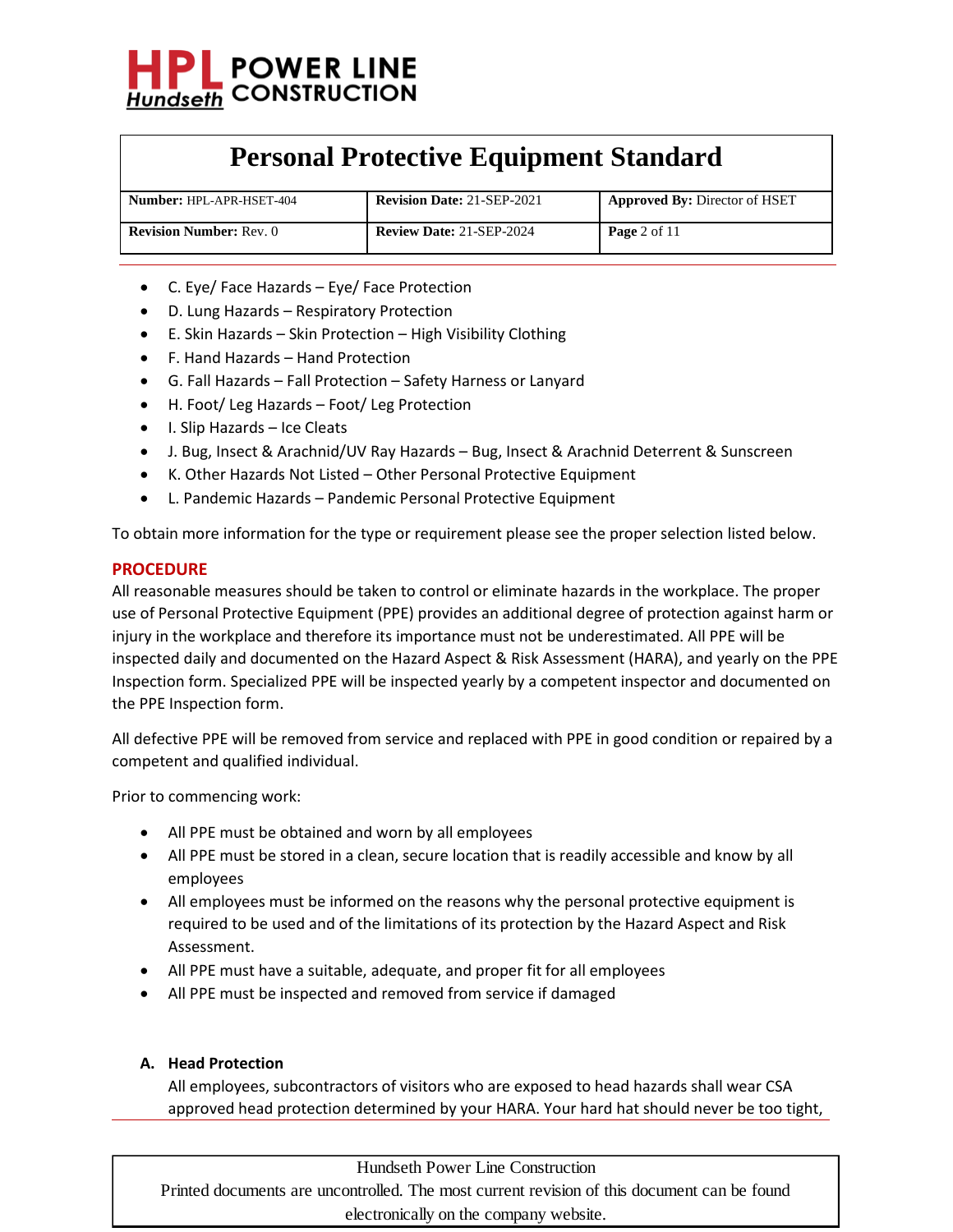

| <b>Number: HPL-APR-HSET-404</b> | <b>Revision Date: 21-SEP-2021</b> | <b>Approved By: Director of HSET</b> |
|---------------------------------|-----------------------------------|--------------------------------------|
| <b>Revision Number: Rev. 0</b>  | <b>Review Date: 21-SEP-2024</b>   | <b>Page</b> 2 of $11$                |

- C. Eye/ Face Hazards Eye/ Face Protection
- D. Lung Hazards Respiratory Protection
- E. Skin Hazards Skin Protection High Visibility Clothing
- F. Hand Hazards Hand Protection
- G. Fall Hazards Fall Protection Safety Harness or Lanyard
- H. Foot/ Leg Hazards Foot/ Leg Protection
- I. Slip Hazards Ice Cleats
- J. Bug, Insect & Arachnid/UV Ray Hazards Bug, Insect & Arachnid Deterrent & Sunscreen
- K. Other Hazards Not Listed Other Personal Protective Equipment
- L. Pandemic Hazards Pandemic Personal Protective Equipment

To obtain more information for the type or requirement please see the proper selection listed below.

#### **PROCEDURE**

All reasonable measures should be taken to control or eliminate hazards in the workplace. The proper use of Personal Protective Equipment (PPE) provides an additional degree of protection against harm or injury in the workplace and therefore its importance must not be underestimated. All PPE will be inspected daily and documented on the Hazard Aspect & Risk Assessment (HARA), and yearly on the PPE Inspection form. Specialized PPE will be inspected yearly by a competent inspector and documented on the PPE Inspection form.

All defective PPE will be removed from service and replaced with PPE in good condition or repaired by a competent and qualified individual.

Prior to commencing work:

- All PPE must be obtained and worn by all employees
- All PPE must be stored in a clean, secure location that is readily accessible and know by all employees
- All employees must be informed on the reasons why the personal protective equipment is required to be used and of the limitations of its protection by the Hazard Aspect and Risk Assessment.
- All PPE must have a suitable, adequate, and proper fit for all employees
- All PPE must be inspected and removed from service if damaged

#### **A. Head Protection**

All employees, subcontractors of visitors who are exposed to head hazards shall wear CSA approved head protection determined by your HARA. Your hard hat should never be too tight,

Hundseth Power Line Construction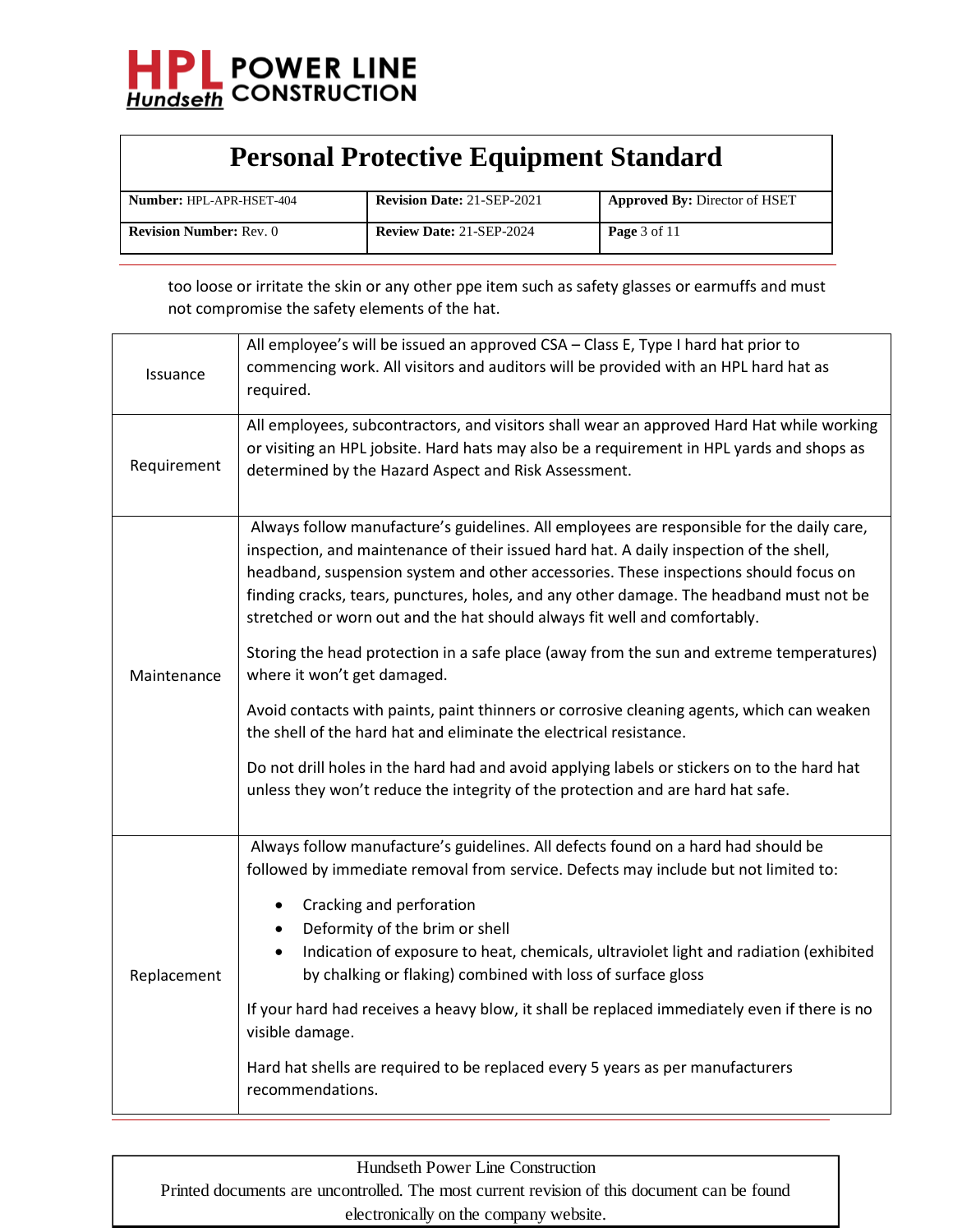

| <b>Number: HPL-APR-HSET-404</b> | <b>Revision Date: 21-SEP-2021</b> | <b>Approved By: Director of HSET</b> |
|---------------------------------|-----------------------------------|--------------------------------------|
| <b>Revision Number: Rev. 0</b>  | <b>Review Date: 21-SEP-2024</b>   | <b>Page</b> $3$ of $11$              |

too loose or irritate the skin or any other ppe item such as safety glasses or earmuffs and must not compromise the safety elements of the hat.

| Issuance    | All employee's will be issued an approved CSA - Class E, Type I hard hat prior to<br>commencing work. All visitors and auditors will be provided with an HPL hard hat as<br>required.                                                                                                                                                                                                                                                               |
|-------------|-----------------------------------------------------------------------------------------------------------------------------------------------------------------------------------------------------------------------------------------------------------------------------------------------------------------------------------------------------------------------------------------------------------------------------------------------------|
| Requirement | All employees, subcontractors, and visitors shall wear an approved Hard Hat while working<br>or visiting an HPL jobsite. Hard hats may also be a requirement in HPL yards and shops as<br>determined by the Hazard Aspect and Risk Assessment.                                                                                                                                                                                                      |
| Maintenance | Always follow manufacture's guidelines. All employees are responsible for the daily care,<br>inspection, and maintenance of their issued hard hat. A daily inspection of the shell,<br>headband, suspension system and other accessories. These inspections should focus on<br>finding cracks, tears, punctures, holes, and any other damage. The headband must not be<br>stretched or worn out and the hat should always fit well and comfortably. |
|             | Storing the head protection in a safe place (away from the sun and extreme temperatures)<br>where it won't get damaged.                                                                                                                                                                                                                                                                                                                             |
|             | Avoid contacts with paints, paint thinners or corrosive cleaning agents, which can weaken<br>the shell of the hard hat and eliminate the electrical resistance.                                                                                                                                                                                                                                                                                     |
|             | Do not drill holes in the hard had and avoid applying labels or stickers on to the hard hat<br>unless they won't reduce the integrity of the protection and are hard hat safe.                                                                                                                                                                                                                                                                      |
| Replacement | Always follow manufacture's guidelines. All defects found on a hard had should be<br>followed by immediate removal from service. Defects may include but not limited to:                                                                                                                                                                                                                                                                            |
|             | Cracking and perforation<br>$\bullet$<br>Deformity of the brim or shell<br>$\bullet$<br>Indication of exposure to heat, chemicals, ultraviolet light and radiation (exhibited<br>$\bullet$<br>by chalking or flaking) combined with loss of surface gloss                                                                                                                                                                                           |
|             | If your hard had receives a heavy blow, it shall be replaced immediately even if there is no<br>visible damage.                                                                                                                                                                                                                                                                                                                                     |
|             | Hard hat shells are required to be replaced every 5 years as per manufacturers<br>recommendations.                                                                                                                                                                                                                                                                                                                                                  |

| Hundseth Power Line Construction                                                            |
|---------------------------------------------------------------------------------------------|
| Printed documents are uncontrolled. The most current revision of this document can be found |
| electronically on the company website.                                                      |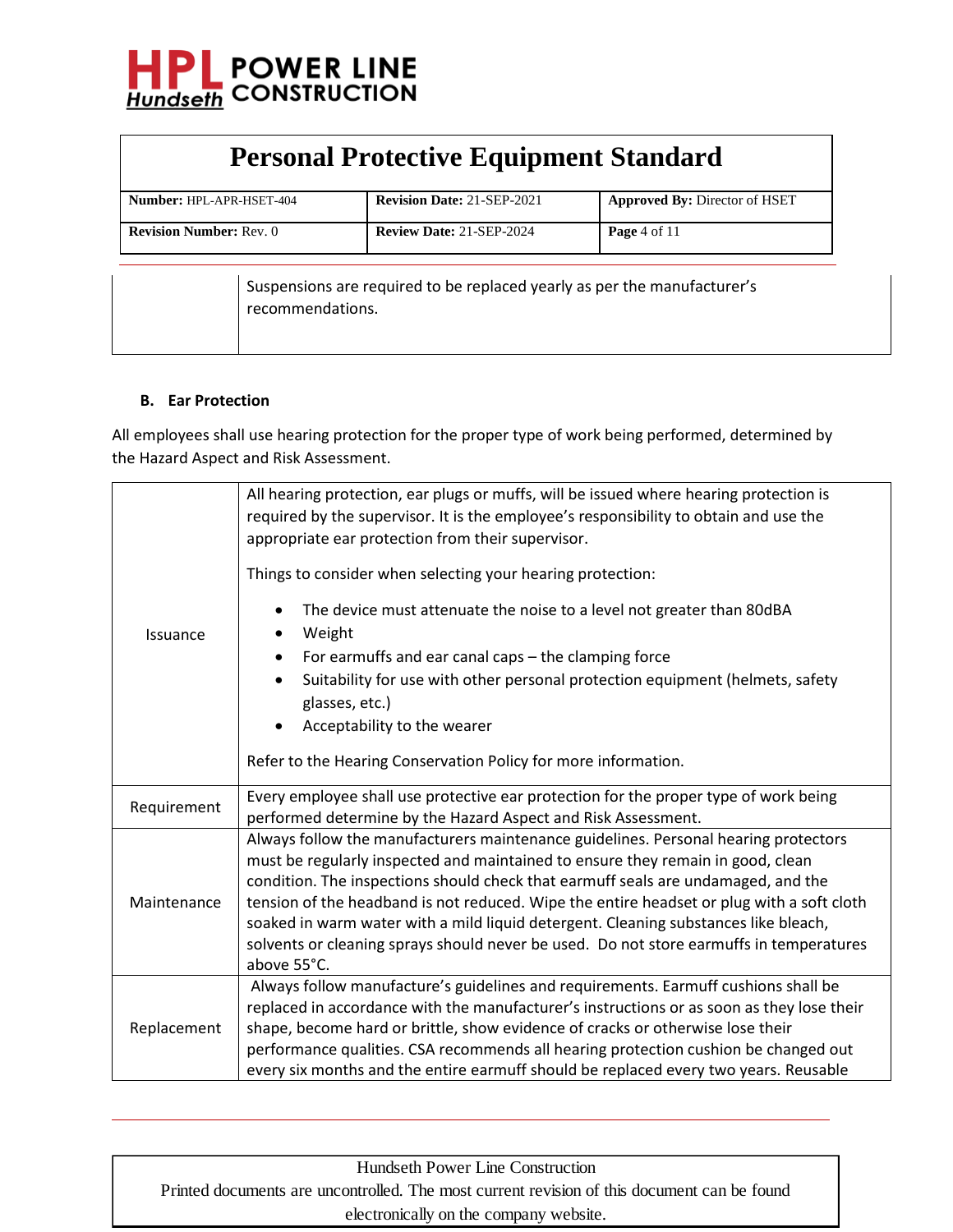

| <b>Personal Protective Equipment Standard</b> |                                                                          |                                      |
|-----------------------------------------------|--------------------------------------------------------------------------|--------------------------------------|
| Number: HPL-APR-HSET-404                      | <b>Revision Date: 21-SEP-2021</b>                                        | <b>Approved By: Director of HSET</b> |
| <b>Revision Number: Rev. 0</b>                | <b>Review Date: 21-SEP-2024</b>                                          | Page $4$ of $11$                     |
| recommendations.                              | Suspensions are required to be replaced yearly as per the manufacturer's |                                      |

#### **B. Ear Protection**

All employees shall use hearing protection for the proper type of work being performed, determined by the Hazard Aspect and Risk Assessment.

| Issuance    | All hearing protection, ear plugs or muffs, will be issued where hearing protection is<br>required by the supervisor. It is the employee's responsibility to obtain and use the<br>appropriate ear protection from their supervisor.<br>Things to consider when selecting your hearing protection:<br>The device must attenuate the noise to a level not greater than 80dBA<br>$\bullet$<br>Weight<br>For earmuffs and ear canal caps - the clamping force<br>٠<br>Suitability for use with other personal protection equipment (helmets, safety<br>glasses, etc.)<br>Acceptability to the wearer<br>Refer to the Hearing Conservation Policy for more information. |
|-------------|---------------------------------------------------------------------------------------------------------------------------------------------------------------------------------------------------------------------------------------------------------------------------------------------------------------------------------------------------------------------------------------------------------------------------------------------------------------------------------------------------------------------------------------------------------------------------------------------------------------------------------------------------------------------|
| Requirement | Every employee shall use protective ear protection for the proper type of work being<br>performed determine by the Hazard Aspect and Risk Assessment.                                                                                                                                                                                                                                                                                                                                                                                                                                                                                                               |
| Maintenance | Always follow the manufacturers maintenance guidelines. Personal hearing protectors<br>must be regularly inspected and maintained to ensure they remain in good, clean<br>condition. The inspections should check that earmuff seals are undamaged, and the<br>tension of the headband is not reduced. Wipe the entire headset or plug with a soft cloth<br>soaked in warm water with a mild liquid detergent. Cleaning substances like bleach,<br>solvents or cleaning sprays should never be used. Do not store earmuffs in temperatures<br>above 55°C.                                                                                                           |
| Replacement | Always follow manufacture's guidelines and requirements. Earmuff cushions shall be<br>replaced in accordance with the manufacturer's instructions or as soon as they lose their<br>shape, become hard or brittle, show evidence of cracks or otherwise lose their<br>performance qualities. CSA recommends all hearing protection cushion be changed out<br>every six months and the entire earmuff should be replaced every two years. Reusable                                                                                                                                                                                                                    |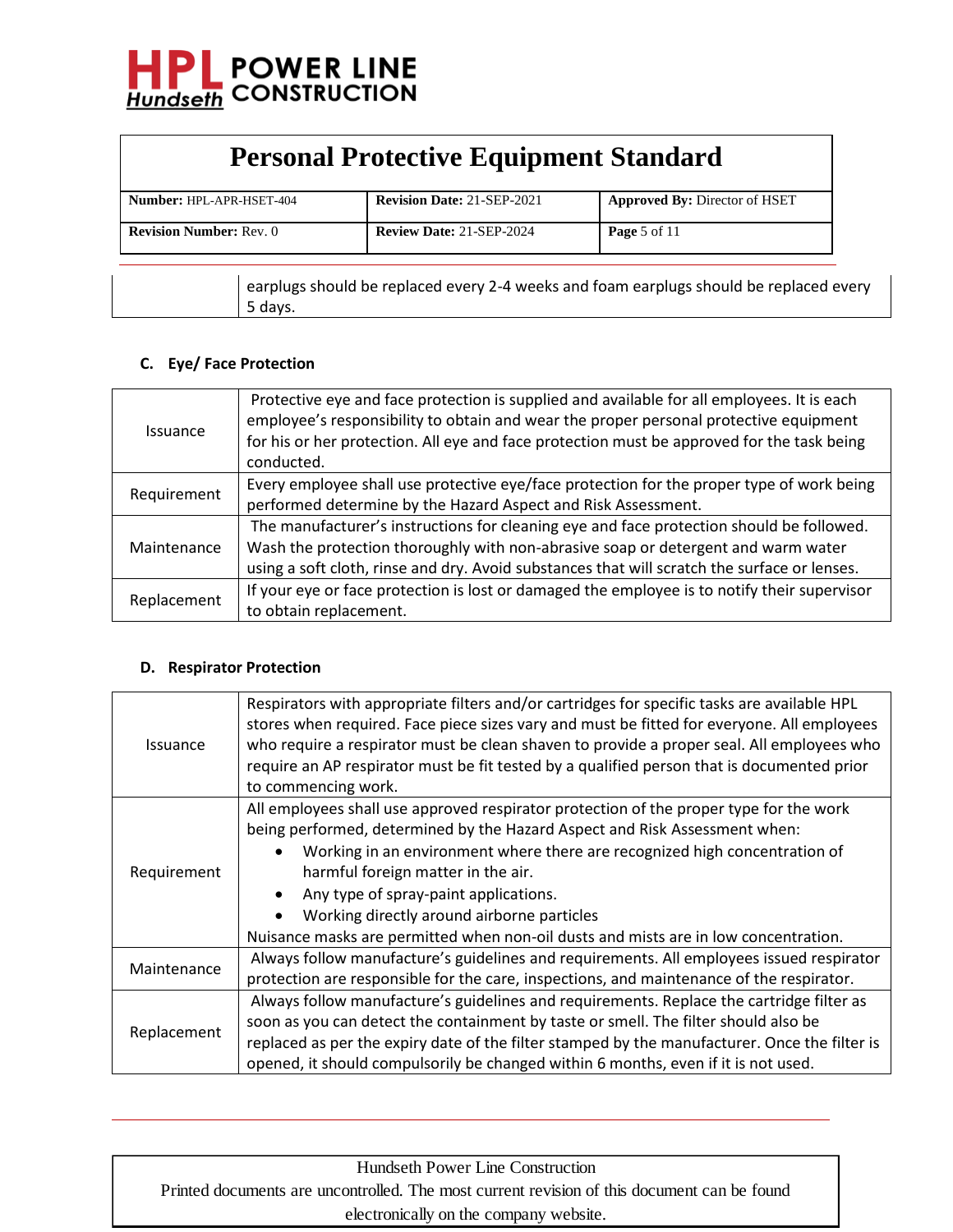

| <b>Personal Protective Equipment Standard</b> |                                   |                                      |
|-----------------------------------------------|-----------------------------------|--------------------------------------|
| Number: HPL-APR-HSET-404                      | <b>Revision Date: 21-SEP-2021</b> | <b>Approved By: Director of HSET</b> |
| <b>Revision Number: Rev. 0</b>                | <b>Review Date: 21-SEP-2024</b>   | Page 5 of 11                         |

earplugs should be replaced every 2-4 weeks and foam earplugs should be replaced every 5 days.

#### **C. Eye/ Face Protection**

| <i>Issuance</i> | Protective eye and face protection is supplied and available for all employees. It is each<br>employee's responsibility to obtain and wear the proper personal protective equipment<br>for his or her protection. All eye and face protection must be approved for the task being<br>conducted. |
|-----------------|-------------------------------------------------------------------------------------------------------------------------------------------------------------------------------------------------------------------------------------------------------------------------------------------------|
| Requirement     | Every employee shall use protective eye/face protection for the proper type of work being                                                                                                                                                                                                       |
|                 | performed determine by the Hazard Aspect and Risk Assessment.                                                                                                                                                                                                                                   |
|                 | The manufacturer's instructions for cleaning eye and face protection should be followed.                                                                                                                                                                                                        |
| Maintenance     | Wash the protection thoroughly with non-abrasive soap or detergent and warm water                                                                                                                                                                                                               |
|                 | using a soft cloth, rinse and dry. Avoid substances that will scratch the surface or lenses.                                                                                                                                                                                                    |
| Replacement     | If your eye or face protection is lost or damaged the employee is to notify their supervisor                                                                                                                                                                                                    |
|                 | to obtain replacement.                                                                                                                                                                                                                                                                          |

#### **D. Respirator Protection**

| <b>Issuance</b> | Respirators with appropriate filters and/or cartridges for specific tasks are available HPL<br>stores when required. Face piece sizes vary and must be fitted for everyone. All employees<br>who require a respirator must be clean shaven to provide a proper seal. All employees who<br>require an AP respirator must be fit tested by a qualified person that is documented prior<br>to commencing work.                                                            |
|-----------------|------------------------------------------------------------------------------------------------------------------------------------------------------------------------------------------------------------------------------------------------------------------------------------------------------------------------------------------------------------------------------------------------------------------------------------------------------------------------|
| Requirement     | All employees shall use approved respirator protection of the proper type for the work<br>being performed, determined by the Hazard Aspect and Risk Assessment when:<br>Working in an environment where there are recognized high concentration of<br>harmful foreign matter in the air.<br>Any type of spray-paint applications.<br>Working directly around airborne particles<br>Nuisance masks are permitted when non-oil dusts and mists are in low concentration. |
| Maintenance     | Always follow manufacture's guidelines and requirements. All employees issued respirator<br>protection are responsible for the care, inspections, and maintenance of the respirator.                                                                                                                                                                                                                                                                                   |
| Replacement     | Always follow manufacture's guidelines and requirements. Replace the cartridge filter as<br>soon as you can detect the containment by taste or smell. The filter should also be<br>replaced as per the expiry date of the filter stamped by the manufacturer. Once the filter is<br>opened, it should compulsorily be changed within 6 months, even if it is not used.                                                                                                 |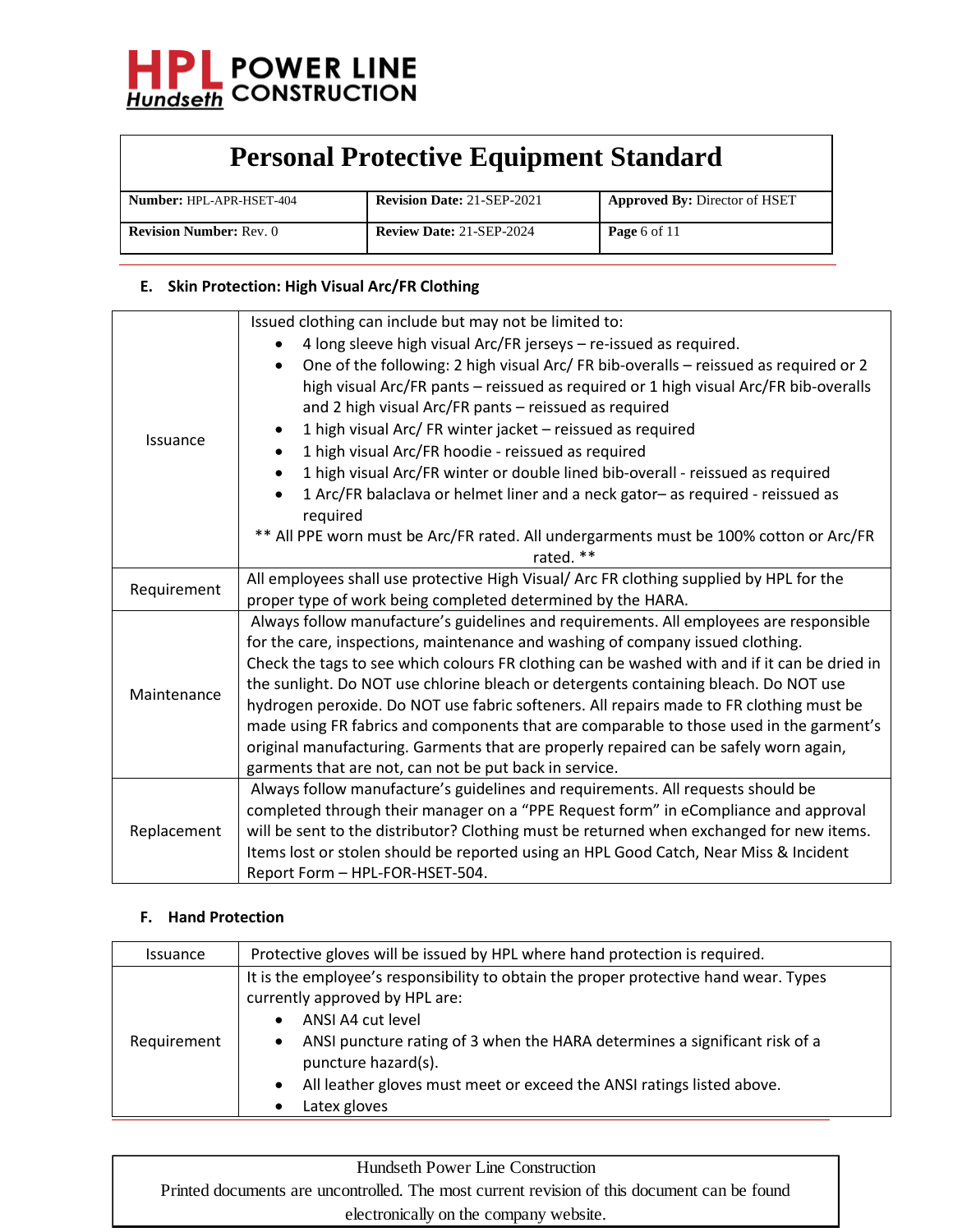

| <b>Number: HPL-APR-HSET-404</b> | <b>Revision Date: 21-SEP-2021</b> | <b>Approved By: Director of HSET</b> |
|---------------------------------|-----------------------------------|--------------------------------------|
| <b>Revision Number: Rev. 0</b>  | <b>Review Date: 21-SEP-2024</b>   | <b>Page</b> 6 of 11                  |

### **E. Skin Protection: High Visual Arc/FR Clothing**

|             | Issued clothing can include but may not be limited to:                                            |
|-------------|---------------------------------------------------------------------------------------------------|
|             | 4 long sleeve high visual Arc/FR jerseys - re-issued as required.                                 |
|             | One of the following: 2 high visual Arc/ FR bib-overalls - reissued as required or 2<br>$\bullet$ |
|             | high visual Arc/FR pants - reissued as required or 1 high visual Arc/FR bib-overalls              |
|             | and 2 high visual Arc/FR pants - reissued as required                                             |
|             | 1 high visual Arc/ FR winter jacket - reissued as required<br>$\bullet$                           |
| Issuance    | 1 high visual Arc/FR hoodie - reissued as required<br>$\bullet$                                   |
|             | 1 high visual Arc/FR winter or double lined bib-overall - reissued as required<br>$\bullet$       |
|             | 1 Arc/FR balaclava or helmet liner and a neck gator- as required - reissued as                    |
|             | required                                                                                          |
|             | ** All PPE worn must be Arc/FR rated. All undergarments must be 100% cotton or Arc/FR             |
|             | rated. **                                                                                         |
|             | All employees shall use protective High Visual/ Arc FR clothing supplied by HPL for the           |
| Requirement | proper type of work being completed determined by the HARA.                                       |
|             | Always follow manufacture's guidelines and requirements. All employees are responsible            |
|             | for the care, inspections, maintenance and washing of company issued clothing.                    |
|             | Check the tags to see which colours FR clothing can be washed with and if it can be dried in      |
| Maintenance | the sunlight. Do NOT use chlorine bleach or detergents containing bleach. Do NOT use              |
|             | hydrogen peroxide. Do NOT use fabric softeners. All repairs made to FR clothing must be           |
|             | made using FR fabrics and components that are comparable to those used in the garment's           |
|             | original manufacturing. Garments that are properly repaired can be safely worn again,             |
|             | garments that are not, can not be put back in service.                                            |
| Replacement | Always follow manufacture's guidelines and requirements. All requests should be                   |
|             | completed through their manager on a "PPE Request form" in eCompliance and approval               |
|             | will be sent to the distributor? Clothing must be returned when exchanged for new items.          |
|             | Items lost or stolen should be reported using an HPL Good Catch, Near Miss & Incident             |
|             | Report Form - HPL-FOR-HSET-504.                                                                   |

### **F. Hand Protection**

| <i><b>Issuance</b></i> | Protective gloves will be issued by HPL where hand protection is required.                                                                                                                           |
|------------------------|------------------------------------------------------------------------------------------------------------------------------------------------------------------------------------------------------|
|                        | It is the employee's responsibility to obtain the proper protective hand wear. Types<br>currently approved by HPL are:<br>ANSI A4 cut level                                                          |
| Requirement            | ANSI puncture rating of 3 when the HARA determines a significant risk of a<br>$\bullet$<br>puncture hazard(s).<br>All leather gloves must meet or exceed the ANSI ratings listed above.<br>$\bullet$ |
|                        | Latex gloves                                                                                                                                                                                         |

| Hundseth Power Line Construction                                                            |
|---------------------------------------------------------------------------------------------|
| Printed documents are uncontrolled. The most current revision of this document can be found |
| electronically on the company website.                                                      |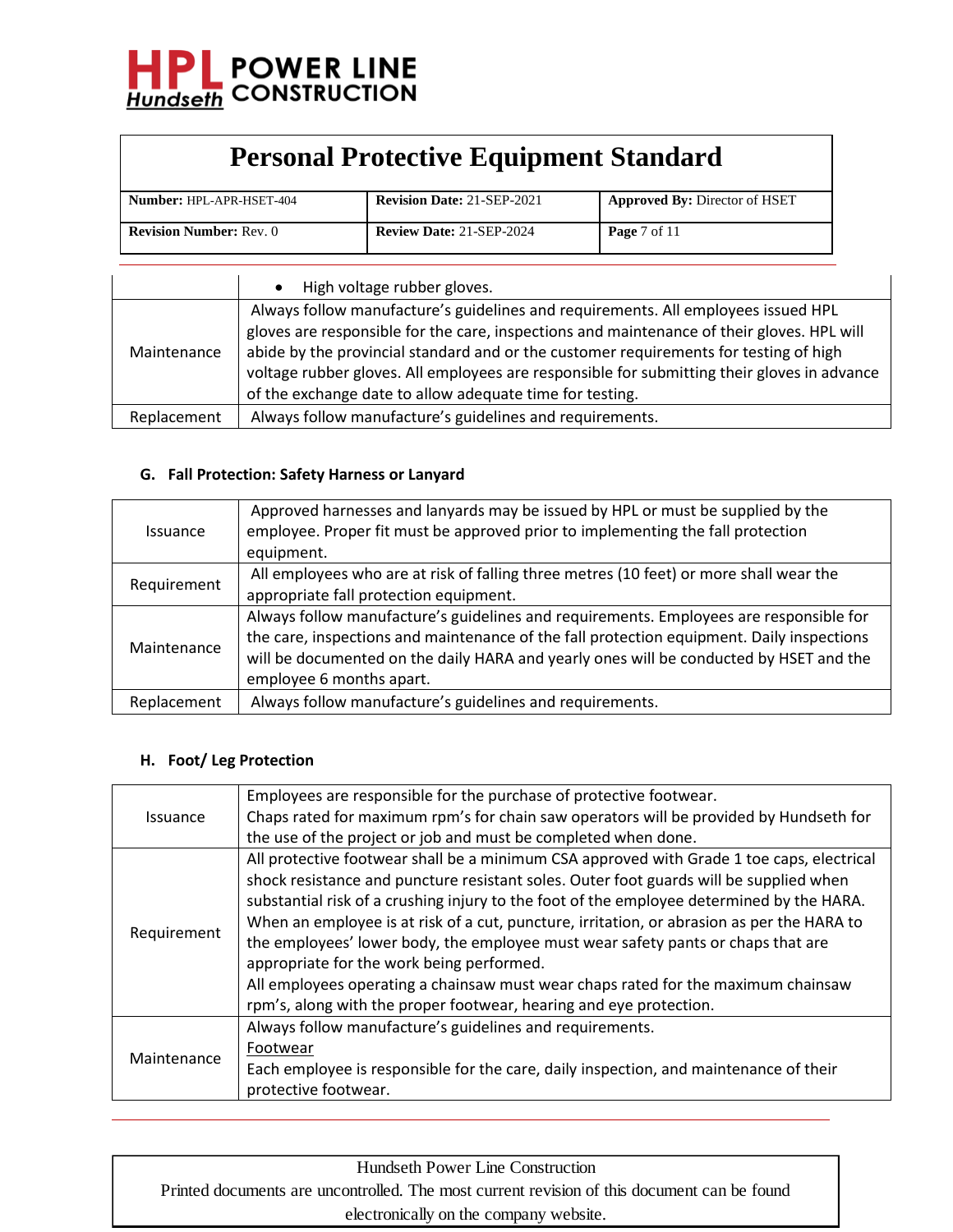

| <b>Number: HPL-APR-HSET-404</b> | <b>Revision Date: 21-SEP-2021</b> | Approved By: Director of HSET  |
|---------------------------------|-----------------------------------|--------------------------------|
| <b>Revision Number: Rev. 0</b>  | <b>Review Date: 21-SEP-2024</b>   | <b>Page</b> $7 \text{ of } 11$ |

|             | High voltage rubber gloves.                                                                 |
|-------------|---------------------------------------------------------------------------------------------|
|             | Always follow manufacture's guidelines and requirements. All employees issued HPL           |
|             | gloves are responsible for the care, inspections and maintenance of their gloves. HPL will  |
| Maintenance | abide by the provincial standard and or the customer requirements for testing of high       |
|             | voltage rubber gloves. All employees are responsible for submitting their gloves in advance |
|             | of the exchange date to allow adequate time for testing.                                    |
| Replacement | Always follow manufacture's guidelines and requirements.                                    |

#### **G. Fall Protection: Safety Harness or Lanyard**

| <b>Issuance</b> | Approved harnesses and lanyards may be issued by HPL or must be supplied by the<br>employee. Proper fit must be approved prior to implementing the fall protection<br>equipment.                                                                                                                          |
|-----------------|-----------------------------------------------------------------------------------------------------------------------------------------------------------------------------------------------------------------------------------------------------------------------------------------------------------|
| Requirement     | All employees who are at risk of falling three metres (10 feet) or more shall wear the<br>appropriate fall protection equipment.                                                                                                                                                                          |
| Maintenance     | Always follow manufacture's guidelines and requirements. Employees are responsible for<br>the care, inspections and maintenance of the fall protection equipment. Daily inspections<br>will be documented on the daily HARA and yearly ones will be conducted by HSET and the<br>employee 6 months apart. |
| Replacement     | Always follow manufacture's guidelines and requirements.                                                                                                                                                                                                                                                  |

#### **H. Foot/ Leg Protection**

|                        | Employees are responsible for the purchase of protective footwear.                         |
|------------------------|--------------------------------------------------------------------------------------------|
| <i><b>Issuance</b></i> | Chaps rated for maximum rpm's for chain saw operators will be provided by Hundseth for     |
|                        | the use of the project or job and must be completed when done.                             |
|                        | All protective footwear shall be a minimum CSA approved with Grade 1 toe caps, electrical  |
|                        | shock resistance and puncture resistant soles. Outer foot guards will be supplied when     |
|                        | substantial risk of a crushing injury to the foot of the employee determined by the HARA.  |
|                        | When an employee is at risk of a cut, puncture, irritation, or abrasion as per the HARA to |
| Requirement            | the employees' lower body, the employee must wear safety pants or chaps that are           |
|                        | appropriate for the work being performed.                                                  |
|                        | All employees operating a chainsaw must wear chaps rated for the maximum chainsaw          |
|                        | rpm's, along with the proper footwear, hearing and eye protection.                         |
|                        | Always follow manufacture's guidelines and requirements.                                   |
| Maintenance            | Footwear                                                                                   |
|                        | Each employee is responsible for the care, daily inspection, and maintenance of their      |
|                        | protective footwear.                                                                       |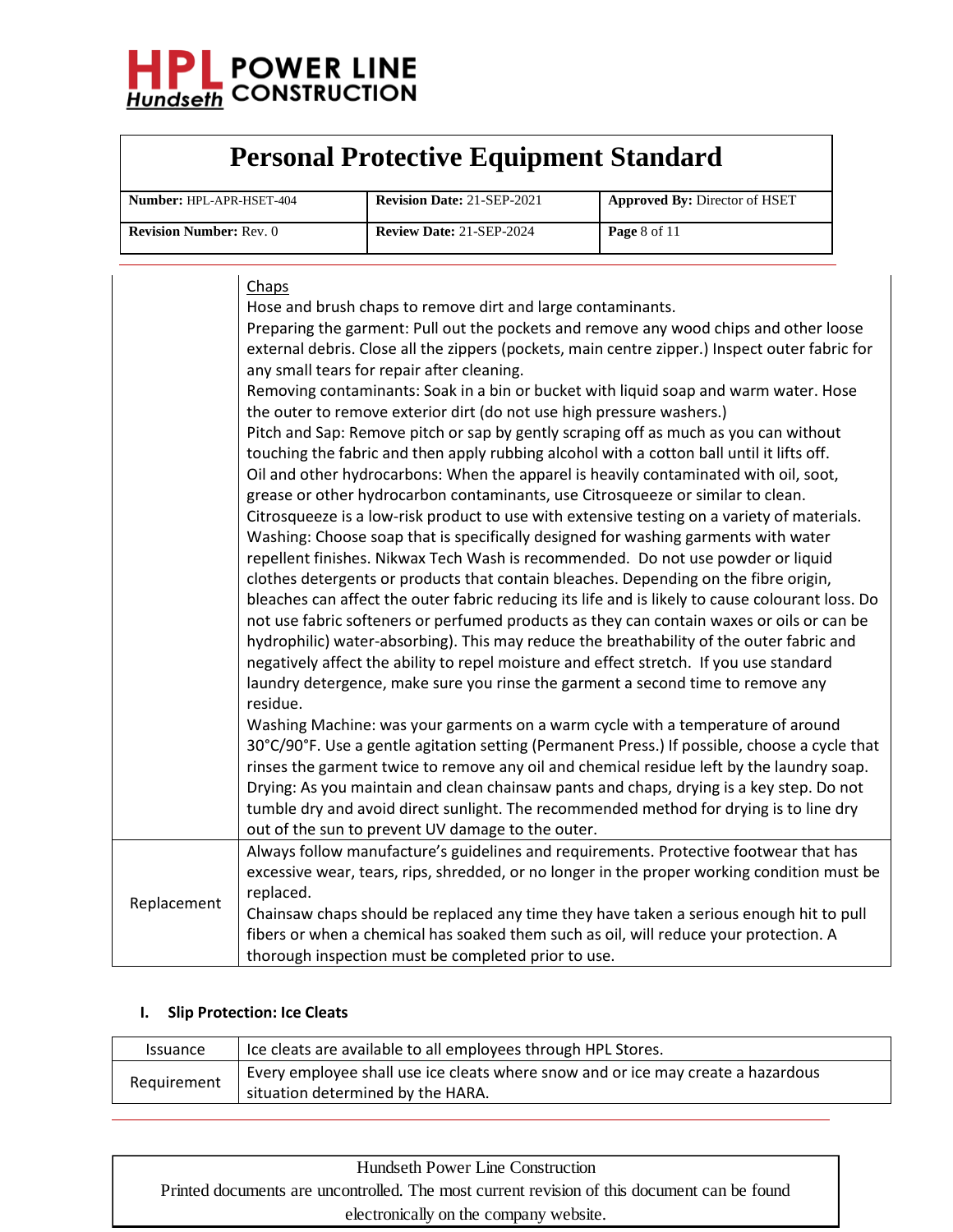

| <b>Number: HPL-APR-HSET-404</b> | <b>Revision Date: 21-SEP-2021</b> | <b>Approved By: Director of HSET</b> |
|---------------------------------|-----------------------------------|--------------------------------------|
| <b>Revision Number: Rev. 0</b>  | <b>Review Date: 21-SEP-2024</b>   | <b>Page</b> 8 of 11                  |

|             | Chaps<br>Hose and brush chaps to remove dirt and large contaminants.<br>Preparing the garment: Pull out the pockets and remove any wood chips and other loose<br>external debris. Close all the zippers (pockets, main centre zipper.) Inspect outer fabric for<br>any small tears for repair after cleaning.<br>Removing contaminants: Soak in a bin or bucket with liquid soap and warm water. Hose<br>the outer to remove exterior dirt (do not use high pressure washers.)<br>Pitch and Sap: Remove pitch or sap by gently scraping off as much as you can without<br>touching the fabric and then apply rubbing alcohol with a cotton ball until it lifts off.<br>Oil and other hydrocarbons: When the apparel is heavily contaminated with oil, soot,<br>grease or other hydrocarbon contaminants, use Citrosqueeze or similar to clean.<br>Citrosqueeze is a low-risk product to use with extensive testing on a variety of materials.<br>Washing: Choose soap that is specifically designed for washing garments with water<br>repellent finishes. Nikwax Tech Wash is recommended. Do not use powder or liquid<br>clothes detergents or products that contain bleaches. Depending on the fibre origin,<br>bleaches can affect the outer fabric reducing its life and is likely to cause colourant loss. Do<br>not use fabric softeners or perfumed products as they can contain waxes or oils or can be<br>hydrophilic) water-absorbing). This may reduce the breathability of the outer fabric and<br>negatively affect the ability to repel moisture and effect stretch. If you use standard<br>laundry detergence, make sure you rinse the garment a second time to remove any<br>residue.<br>Washing Machine: was your garments on a warm cycle with a temperature of around<br>30°C/90°F. Use a gentle agitation setting (Permanent Press.) If possible, choose a cycle that<br>rinses the garment twice to remove any oil and chemical residue left by the laundry soap.<br>Drying: As you maintain and clean chainsaw pants and chaps, drying is a key step. Do not<br>tumble dry and avoid direct sunlight. The recommended method for drying is to line dry<br>out of the sun to prevent UV damage to the outer. |
|-------------|------------------------------------------------------------------------------------------------------------------------------------------------------------------------------------------------------------------------------------------------------------------------------------------------------------------------------------------------------------------------------------------------------------------------------------------------------------------------------------------------------------------------------------------------------------------------------------------------------------------------------------------------------------------------------------------------------------------------------------------------------------------------------------------------------------------------------------------------------------------------------------------------------------------------------------------------------------------------------------------------------------------------------------------------------------------------------------------------------------------------------------------------------------------------------------------------------------------------------------------------------------------------------------------------------------------------------------------------------------------------------------------------------------------------------------------------------------------------------------------------------------------------------------------------------------------------------------------------------------------------------------------------------------------------------------------------------------------------------------------------------------------------------------------------------------------------------------------------------------------------------------------------------------------------------------------------------------------------------------------------------------------------------------------------------------------------------------------------------------------------------------------------------------------------------------------------------------------------------------|
| Replacement | Always follow manufacture's guidelines and requirements. Protective footwear that has<br>excessive wear, tears, rips, shredded, or no longer in the proper working condition must be<br>replaced.<br>Chainsaw chaps should be replaced any time they have taken a serious enough hit to pull<br>fibers or when a chemical has soaked them such as oil, will reduce your protection. A<br>thorough inspection must be completed prior to use.                                                                                                                                                                                                                                                                                                                                                                                                                                                                                                                                                                                                                                                                                                                                                                                                                                                                                                                                                                                                                                                                                                                                                                                                                                                                                                                                                                                                                                                                                                                                                                                                                                                                                                                                                                                       |

### **I. Slip Protection: Ice Cleats**

| <i><b>Issuance</b></i> | Ice cleats are available to all employees through HPL Stores.                    |
|------------------------|----------------------------------------------------------------------------------|
| Requirement            | Every employee shall use ice cleats where snow and or ice may create a hazardous |
|                        | situation determined by the HARA.                                                |

| Hundseth Power Line Construction                                                            |
|---------------------------------------------------------------------------------------------|
| Printed documents are uncontrolled. The most current revision of this document can be found |
| electronically on the company website.                                                      |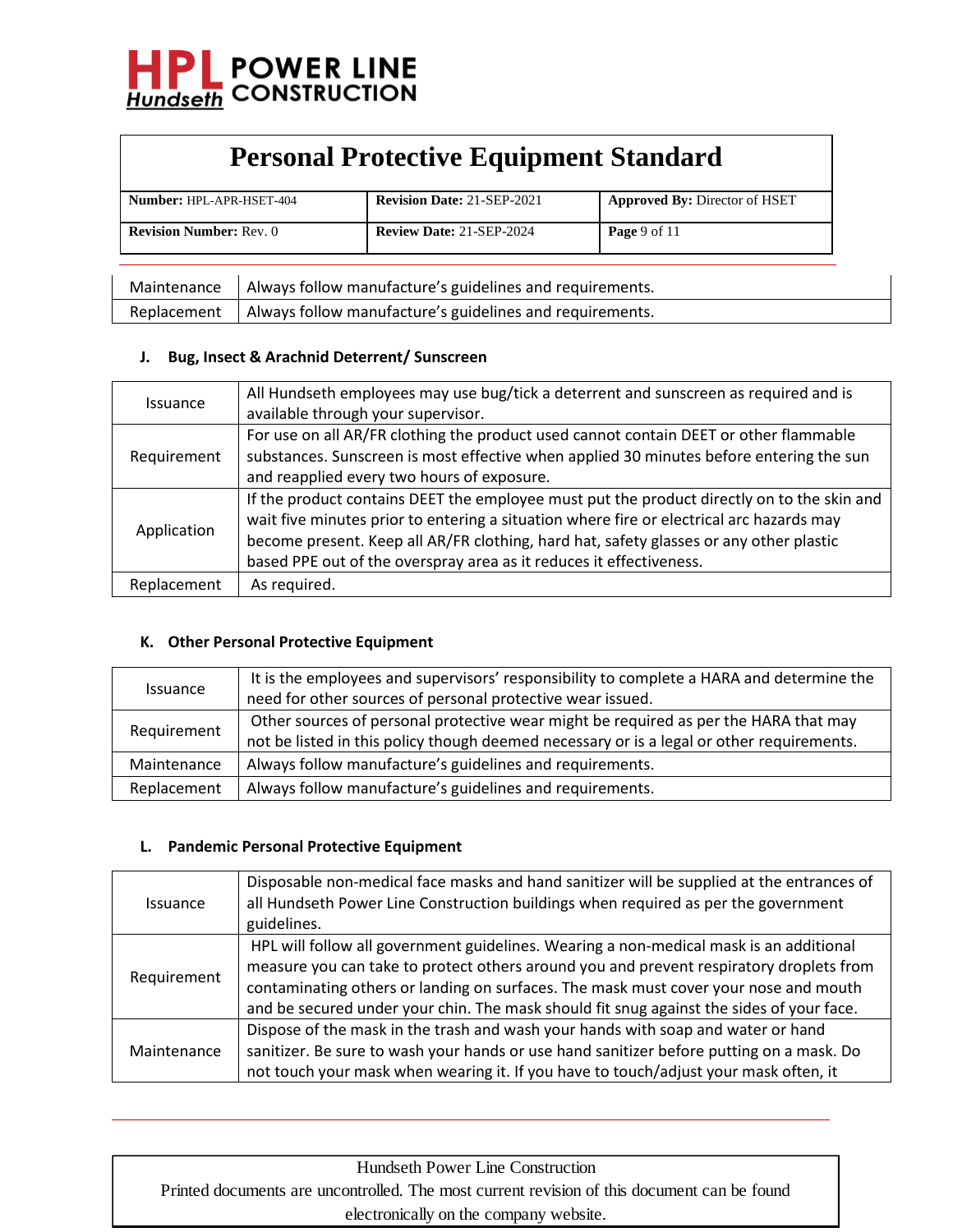

| <b>Number: HPL-APR-HSET-404</b> | <b>Revision Date: 21-SEP-2021</b> | <b>Approved By: Director of HSET</b> |
|---------------------------------|-----------------------------------|--------------------------------------|
| <b>Revision Number: Rev. 0</b>  | <b>Review Date: 21-SEP-2024</b>   | <b>Page</b> 9 of 11                  |

| Maintenance   Always follow manufacture's guidelines and requirements. |
|------------------------------------------------------------------------|
| Replacement   Always follow manufacture's guidelines and requirements. |

#### **J. Bug, Insect & Arachnid Deterrent/ Sunscreen**

|                        | All Hundseth employees may use bug/tick a deterrent and sunscreen as required and is       |
|------------------------|--------------------------------------------------------------------------------------------|
| <i><b>Issuance</b></i> | available through your supervisor.                                                         |
| Requirement            | For use on all AR/FR clothing the product used cannot contain DEET or other flammable      |
|                        | substances. Sunscreen is most effective when applied 30 minutes before entering the sun    |
|                        | and reapplied every two hours of exposure.                                                 |
| Application            | If the product contains DEET the employee must put the product directly on to the skin and |
|                        | wait five minutes prior to entering a situation where fire or electrical arc hazards may   |
|                        | become present. Keep all AR/FR clothing, hard hat, safety glasses or any other plastic     |
|                        | based PPE out of the overspray area as it reduces it effectiveness.                        |
| Replacement            | As required.                                                                               |

#### **K. Other Personal Protective Equipment**

|                 | It is the employees and supervisors' responsibility to complete a HARA and determine the  |  |
|-----------------|-------------------------------------------------------------------------------------------|--|
| <i>Issuance</i> |                                                                                           |  |
|                 | need for other sources of personal protective wear issued.                                |  |
| Requirement     | Other sources of personal protective wear might be required as per the HARA that may      |  |
|                 | not be listed in this policy though deemed necessary or is a legal or other requirements. |  |
| Maintenance     | Always follow manufacture's guidelines and requirements.                                  |  |
| Replacement     | Always follow manufacture's guidelines and requirements.                                  |  |

#### **L. Pandemic Personal Protective Equipment**

| Issuance    | Disposable non-medical face masks and hand sanitizer will be supplied at the entrances of<br>all Hundseth Power Line Construction buildings when required as per the government<br>guidelines.                                                                                                                                                                        |
|-------------|-----------------------------------------------------------------------------------------------------------------------------------------------------------------------------------------------------------------------------------------------------------------------------------------------------------------------------------------------------------------------|
| Requirement | HPL will follow all government guidelines. Wearing a non-medical mask is an additional<br>measure you can take to protect others around you and prevent respiratory droplets from<br>contaminating others or landing on surfaces. The mask must cover your nose and mouth<br>and be secured under your chin. The mask should fit snug against the sides of your face. |
| Maintenance | Dispose of the mask in the trash and wash your hands with soap and water or hand<br>sanitizer. Be sure to wash your hands or use hand sanitizer before putting on a mask. Do<br>not touch your mask when wearing it. If you have to touch/adjust your mask often, it                                                                                                  |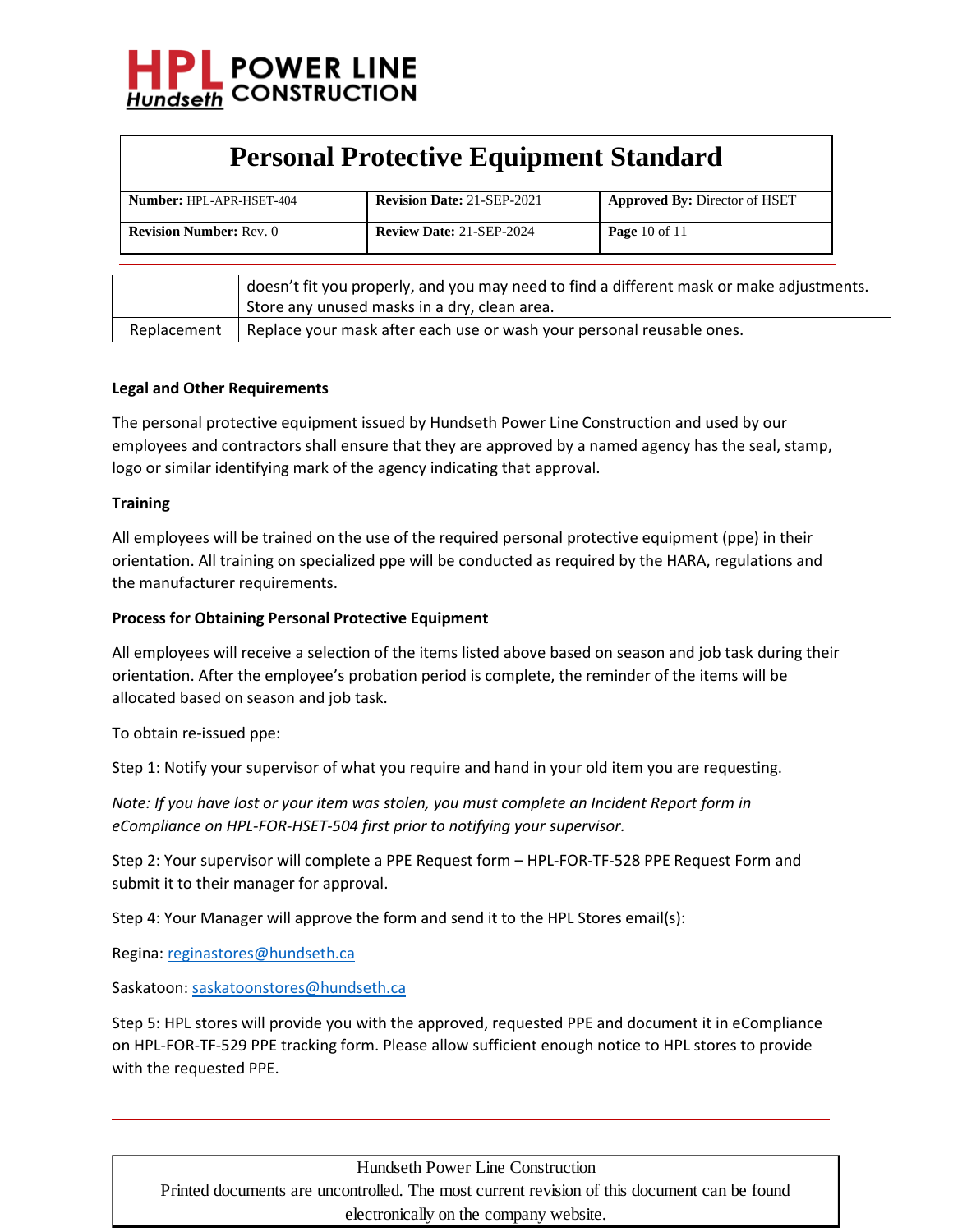

| <b>Personal Protective Equipment Standard</b> |  |                                              |                                                                                          |  |  |  |
|-----------------------------------------------|--|----------------------------------------------|------------------------------------------------------------------------------------------|--|--|--|
| Number: HPL-APR-HSET-404                      |  | <b>Revision Date: 21-SEP-2021</b>            | <b>Approved By: Director of HSET</b>                                                     |  |  |  |
| <b>Revision Number: Rev. 0</b>                |  | <b>Review Date: 21-SEP-2024</b>              | Page 10 of $11$                                                                          |  |  |  |
|                                               |  | Store any unused masks in a dry, clean area. | doesn't fit you properly, and you may need to find a different mask or make adjustments. |  |  |  |

## Replacement | Replace your mask after each use or wash your personal reusable ones.

#### **Legal and Other Requirements**

The personal protective equipment issued by Hundseth Power Line Construction and used by our employees and contractors shall ensure that they are approved by a named agency has the seal, stamp, logo or similar identifying mark of the agency indicating that approval.

#### **Training**

All employees will be trained on the use of the required personal protective equipment (ppe) in their orientation. All training on specialized ppe will be conducted as required by the HARA, regulations and the manufacturer requirements.

#### **Process for Obtaining Personal Protective Equipment**

All employees will receive a selection of the items listed above based on season and job task during their orientation. After the employee's probation period is complete, the reminder of the items will be allocated based on season and job task.

To obtain re-issued ppe:

Step 1: Notify your supervisor of what you require and hand in your old item you are requesting.

*Note: If you have lost or your item was stolen, you must complete an Incident Report form in eCompliance on HPL-FOR-HSET-504 first prior to notifying your supervisor.*

Step 2: Your supervisor will complete a PPE Request form – HPL-FOR-TF-528 PPE Request Form and submit it to their manager for approval.

Step 4: Your Manager will approve the form and send it to the HPL Stores email(s):

Regina[: reginastores@hundseth.ca](mailto:reginastores@hundseth.ca)

Saskatoon[: saskatoonstores@hundseth.ca](mailto:saskatoonstores@hundseth.ca)

Step 5: HPL stores will provide you with the approved, requested PPE and document it in eCompliance on HPL-FOR-TF-529 PPE tracking form. Please allow sufficient enough notice to HPL stores to provide with the requested PPE.

Hundseth Power Line Construction